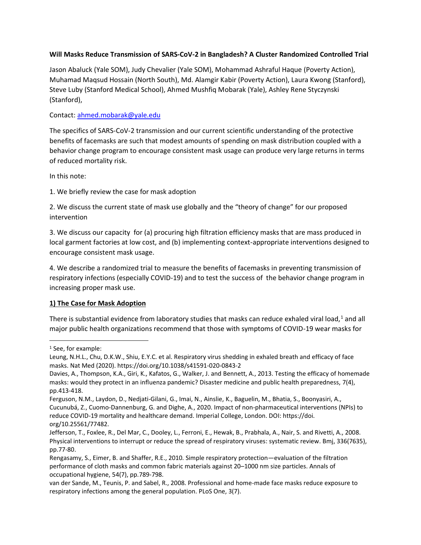### **Will Masks Reduce Transmission of SARS-CoV-2 in Bangladesh? A Cluster Randomized Controlled Trial**

Jason Abaluck (Yale SOM), Judy Chevalier (Yale SOM), Mohammad Ashraful Haque (Poverty Action), Muhamad Maqsud Hossain (North South), Md. Alamgir Kabir (Poverty Action), Laura Kwong (Stanford), Steve Luby (Stanford Medical School), Ahmed Mushfiq Mobarak (Yale), Ashley Rene Styczynski (Stanford),

## Contact: [ahmed.mobarak@yale.edu](mailto:ahmed.mobarak@yale.edu)

The specifics of SARS-CoV-2 transmission and our current scientific understanding of the protective benefits of facemasks are such that modest amounts of spending on mask distribution coupled with a behavior change program to encourage consistent mask usage can produce very large returns in terms of reduced mortality risk.

In this note:

1. We briefly review the case for mask adoption

2. We discuss the current state of mask use globally and the "theory of change" for our proposed intervention

3. We discuss our capacity for (a) procuring high filtration efficiency masks that are mass produced in local garment factories at low cost, and (b) implementing context-appropriate interventions designed to encourage consistent mask usage.

4. We describe a randomized trial to measure the benefits of facemasks in preventing transmission of respiratory infections (especially COVID-19) and to test the success of the behavior change program in increasing proper mask use.

# **1) The Case for Mask Adoption**

There is substantial evidence from laboratory studies that masks can reduce exhaled viral load, $1$  and all major public health organizations recommend that those with symptoms of COVID-19 wear masks for

<sup>&</sup>lt;sup>1</sup> See, for example:

Leung, N.H.L., Chu, D.K.W., Shiu, E.Y.C. et al. Respiratory virus shedding in exhaled breath and efficacy of face masks. Nat Med (2020). https://doi.org/10.1038/s41591-020-0843-2

Davies, A., Thompson, K.A., Giri, K., Kafatos, G., Walker, J. and Bennett, A., 2013. Testing the efficacy of homemade masks: would they protect in an influenza pandemic? Disaster medicine and public health preparedness, 7(4), pp.413-418.

Ferguson, N.M., Laydon, D., Nedjati-Gilani, G., Imai, N., Ainslie, K., Baguelin, M., Bhatia, S., Boonyasiri, A., Cucunubá, Z., Cuomo-Dannenburg, G. and Dighe, A., 2020. Impact of non-pharmaceutical interventions (NPIs) to reduce COVID-19 mortality and healthcare demand. Imperial College, London. DOI: https://doi. org/10.25561/77482.

Jefferson, T., Foxlee, R., Del Mar, C., Dooley, L., Ferroni, E., Hewak, B., Prabhala, A., Nair, S. and Rivetti, A., 2008. Physical interventions to interrupt or reduce the spread of respiratory viruses: systematic review. Bmj, 336(7635), pp.77-80.

Rengasamy, S., Eimer, B. and Shaffer, R.E., 2010. Simple respiratory protection—evaluation of the filtration performance of cloth masks and common fabric materials against 20–1000 nm size particles. Annals of occupational hygiene, 54(7), pp.789-798.

van der Sande, M., Teunis, P. and Sabel, R., 2008. Professional and home-made face masks reduce exposure to respiratory infections among the general population. PLoS One, 3(7).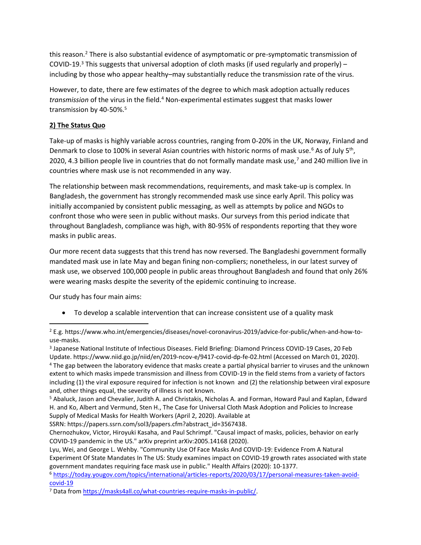this reason.<sup>2</sup> There is also substantial evidence of asymptomatic or pre-symptomatic transmission of COVID-19.<sup>3</sup> This suggests that universal adoption of cloth masks (if used regularly and properly) – including by those who appear healthy–may substantially reduce the transmission rate of the virus.

However, to date, there are few estimates of the degree to which mask adoption actually reduces *transmission* of the virus in the field.<sup>4</sup> Non-experimental estimates suggest that masks lower transmission by 40-50%. 5

# **2) The Status Quo**

Take-up of masks is highly variable across countries, ranging from 0-20% in the UK, Norway, Finland and Denmark to close to 100% in several Asian countries with historic norms of mask use.<sup>6</sup> As of July 5<sup>th</sup>, 2020, 4.3 billion people live in countries that do not formally mandate mask use,<sup>7</sup> and 240 million live in countries where mask use is not recommended in any way.

The relationship between mask recommendations, requirements, and mask take-up is complex. In Bangladesh, the government has strongly recommended mask use since early April. This policy was initially accompanied by consistent public messaging, as well as attempts by police and NGOs to confront those who were seen in public without masks. Our surveys from this period indicate that throughout Bangladesh, compliance was high, with 80-95% of respondents reporting that they wore masks in public areas.

Our more recent data suggests that this trend has now reversed. The Bangladeshi government formally mandated mask use in late May and began fining non-compliers; nonetheless, in our latest survey of mask use, we observed 100,000 people in public areas throughout Bangladesh and found that only 26% were wearing masks despite the severity of the epidemic continuing to increase.

Our study has four main aims:

• To develop a scalable intervention that can increase consistent use of a quality mask

SSRN: [https://papers.ssrn.com/sol3/papers.cfm?abstract\\_id=3567438.](https://papers.ssrn.com/sol3/papers.cfm?abstract_id=3567438)

<sup>2</sup> E.g[. https://www.who.int/emergencies/diseases/novel-coronavirus-2019/advice-for-public/when-and-how-to](https://www.who.int/emergencies/diseases/novel-coronavirus-2019/advice-for-public/when-and-how-to-use-masks)[use-masks.](https://www.who.int/emergencies/diseases/novel-coronavirus-2019/advice-for-public/when-and-how-to-use-masks)

<sup>3</sup> Japanese National Institute of Infectious Diseases. Field Briefing: Diamond Princess COVID-19 Cases, 20 Feb Update. https://www.niid.go.jp/niid/en/2019-ncov-e/9417-covid-dp-fe-02.html (Accessed on March 01, 2020).

<sup>4</sup> The gap between the laboratory evidence that masks create a partial physical barrier to viruses and the unknown extent to which masks impede transmission and illness from COVID-19 in the field stems from a variety of factors including (1) the viral exposure required for infection is not known and (2) the relationship between viral exposure and, other things equal, the severity of illness is not known.

<sup>5</sup> Abaluck, Jason and Chevalier, Judith A. and Christakis, Nicholas A. and Forman, Howard Paul and Kaplan, Edward H. and Ko, Albert and Vermund, Sten H., The Case for Universal Cloth Mask Adoption and Policies to Increase Supply of Medical Masks for Health Workers (April 2, 2020). Available at

Chernozhukov, Victor, Hiroyuki Kasaha, and Paul Schrimpf. "Causal impact of masks, policies, behavior on early COVID-19 pandemic in the US." arXiv preprint arXiv:2005.14168 (2020).

Lyu, Wei, and George L. Wehby. "Community Use Of Face Masks And COVID-19: Evidence From A Natural Experiment Of State Mandates In The US: Study examines impact on COVID-19 growth rates associated with state government mandates requiring face mask use in public." Health Affairs (2020): 10-1377.

<sup>6</sup> [https://today.yougov.com/topics/international/articles-reports/2020/03/17/personal-measures-taken-avoid](https://today.yougov.com/topics/international/articles-reports/2020/03/17/personal-measures-taken-avoid-covid-19)[covid-19](https://today.yougov.com/topics/international/articles-reports/2020/03/17/personal-measures-taken-avoid-covid-19)

<sup>7</sup> Data from [https://masks4all.co/what-countries-require-masks-in-public/.](https://masks4all.co/what-countries-require-masks-in-public/)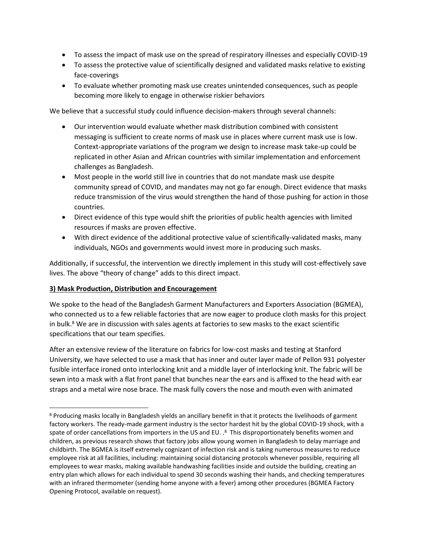- To assess the impact of mask use on the spread of respiratory illnesses and especially COVID-19
- To assess the protective value of scientifically designed and validated masks relative to existing face-coverings
- To evaluate whether promoting mask use creates unintended consequences, such as people becoming more likely to engage in otherwise riskier behaviors

We believe that a successful study could influence decision-makers through several channels:

- Our intervention would evaluate whether mask distribution combined with consistent messaging is sufficient to create norms of mask use in places where current mask use is low. Context-appropriate variations of the program we design to increase mask take-up could be replicated in other Asian and African countries with similar implementation and enforcement challenges as Bangladesh.
- Most people in the world still live in countries that do not mandate mask use despite community spread of COVID, and mandates may not go far enough. Direct evidence that masks reduce transmission of the virus would strengthen the hand of those pushing for action in those countries.
- Direct evidence of this type would shift the priorities of public health agencies with limited resources if masks are proven effective.
- With direct evidence of the additional protective value of scientifically-validated masks, many individuals, NGOs and governments would invest more in producing such masks.

Additionally, if successful, the intervention we directly implement in this study will cost-effectively save lives. The above "theory of change" adds to this direct impact.

#### **3) Mask Production, Distribution and Encouragement**

We spoke to the head of the Bangladesh Garment Manufacturers and Exporters Association (BGMEA), who connected us to a few reliable factories that are now eager to produce cloth masks for this project in bulk. <sup>8</sup> We are in discussion with sales agents at factories to sew masks to the exact scientific specifications that our team specifies.

After an extensive review of the literature on fabrics for low-cost masks and testing at Stanford University, we have selected to use a mask that has inner and outer layer made of Pellon 931 polyester fusible interface ironed onto interlocking knit and a middle layer of interlocking knit. The fabric will be sewn into a mask with a flat front panel that bunches near the ears and is affixed to the head with ear straps and a metal wire nose brace. The mask fully covers the nose and mouth even with animated

<sup>8</sup> Producing masks locally in Bangladesh yields an ancillary benefit in that it protects the livelihoods of garment factory workers. The ready-made garment industry is the sector hardest hit by the global COVID-19 shock, with a spate of order cancellations from importers in the US and EU.  $.^8$  This disproportionately benefits women and children, as previous research shows that factory jobs allow young women in Bangladesh to delay marriage and childbirth. The BGMEA is itself extremely cognizant of infection risk and is taking numerous measures to reduce employee risk at all facilities, including: maintaining social distancing protocols whenever possible, requiring all employees to wear masks, making available handwashing facilities inside and outside the building, creating an entry plan which allows for each individual to spend 30 seconds washing their hands, and checking temperatures with an infrared thermometer (sending home anyone with a fever) among other procedures (BGMEA Factory Opening Protocol, available on request).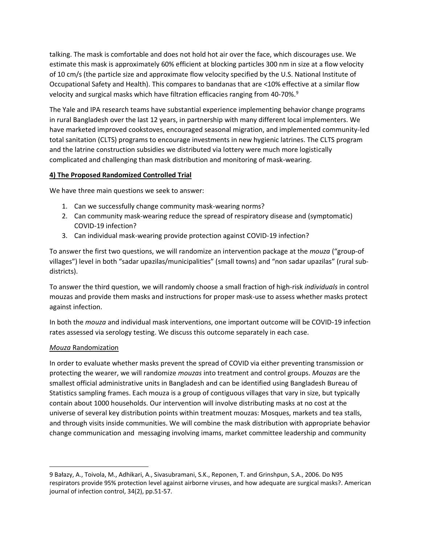talking. The mask is comfortable and does not hold hot air over the face, which discourages use. We estimate this mask is approximately 60% efficient at blocking particles 300 nm in size at a flow velocity of 10 cm/s (the particle size and approximate flow velocity specified by the U.S. National Institute of Occupational Safety and Health). This compares to bandanas that are <10% effective at a similar flow velocity and surgical masks which have filtration efficacies ranging from 40-70%.<sup>9</sup>

The Yale and IPA research teams have substantial experience implementing behavior change programs in rural Bangladesh over the last 12 years, in partnership with many different local implementers. We have marketed improved cookstoves, encouraged seasonal migration, and implemented community-led total sanitation (CLTS) programs to encourage investments in new hygienic latrines. The CLTS program and the latrine construction subsidies we distributed via lottery were much more logistically complicated and challenging than mask distribution and monitoring of mask-wearing.

## **4) The Proposed Randomized Controlled Trial**

We have three main questions we seek to answer:

- 1. Can we successfully change community mask-wearing norms?
- 2. Can community mask-wearing reduce the spread of respiratory disease and (symptomatic) COVID-19 infection?
- 3. Can individual mask-wearing provide protection against COVID-19 infection?

To answer the first two questions, we will randomize an intervention package at the *mouza* ("group-of villages") level in both "sadar upazilas/municipalities" (small towns) and "non sadar upazilas" (rural subdistricts).

To answer the third question, we will randomly choose a small fraction of high-risk *individuals* in control mouzas and provide them masks and instructions for proper mask-use to assess whether masks protect against infection.

In both the *mouza* and individual mask interventions, one important outcome will be COVID-19 infection rates assessed via serology testing. We discuss this outcome separately in each case.

#### *Mouza* Randomization

In order to evaluate whether masks prevent the spread of COVID via either preventing transmission or protecting the wearer, we will randomize *mouzas* into treatment and control groups. *Mouzas* are the smallest official administrative units in Bangladesh and can be identified using Bangladesh Bureau of Statistics sampling frames. Each mouza is a group of contiguous villages that vary in size, but typically contain about 1000 households. Our intervention will involve distributing masks at no cost at the universe of several key distribution points within treatment mouzas: Mosques, markets and tea stalls, and through visits inside communities. We will combine the mask distribution with appropriate behavior change communication and messaging involving imams, market committee leadership and community

<sup>9</sup> Bałazy, A., Toivola, M., Adhikari, A., Sivasubramani, S.K., Reponen, T. and Grinshpun, S.A., 2006. Do N95 respirators provide 95% protection level against airborne viruses, and how adequate are surgical masks?. American journal of infection control, 34(2), pp.51-57.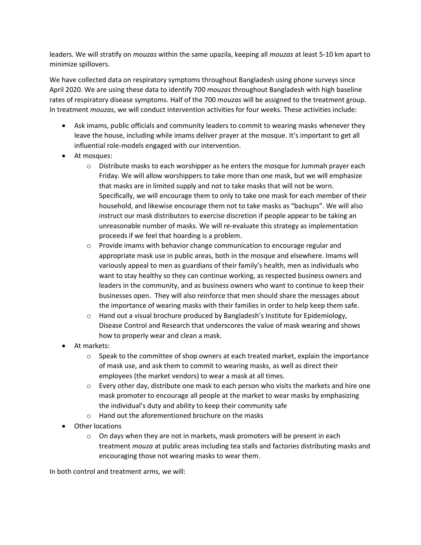leaders. We will stratify on *mouzas* within the same upazila, keeping all *mouzas* at least 5-10 km apart to minimize spillovers.

We have collected data on respiratory symptoms throughout Bangladesh using phone surveys since April 2020. We are using these data to identify 700 *mouzas* throughout Bangladesh with high baseline rates of respiratory disease symptoms. Half of the 700 *mouzas* will be assigned to the treatment group. In treatment *mouzas*, we will conduct intervention activities for four weeks. These activities include:

- Ask imams, public officials and community leaders to commit to wearing masks whenever they leave the house, including while imams deliver prayer at the mosque. It's important to get all influential role-models engaged with our intervention.
- At mosques:
	- $\circ$  Distribute masks to each worshipper as he enters the mosque for Jummah prayer each Friday. We will allow worshippers to take more than one mask, but we will emphasize that masks are in limited supply and not to take masks that will not be worn. Specifically, we will encourage them to only to take one mask for each member of their household, and likewise encourage them not to take masks as "backups". We will also instruct our mask distributors to exercise discretion if people appear to be taking an unreasonable number of masks. We will re-evaluate this strategy as implementation proceeds if we feel that hoarding is a problem.
	- o Provide imams with behavior change communication to encourage regular and appropriate mask use in public areas, both in the mosque and elsewhere. Imams will variously appeal to men as guardians of their family's health, men as individuals who want to stay healthy so they can continue working, as respected business owners and leaders in the community, and as business owners who want to continue to keep their businesses open. They will also reinforce that men should share the messages about the importance of wearing masks with their families in order to help keep them safe.
	- $\circ$  Hand out a visual brochure produced by Bangladesh's Institute for Epidemiology, Disease Control and Research that underscores the value of mask wearing and shows how to properly wear and clean a mask.
- At markets:
	- $\circ$  Speak to the committee of shop owners at each treated market, explain the importance of mask use, and ask them to commit to wearing masks, as well as direct their employees (the market vendors) to wear a mask at all times.
	- $\circ$  Every other day, distribute one mask to each person who visits the markets and hire one mask promoter to encourage all people at the market to wear masks by emphasizing the individual's duty and ability to keep their community safe
	- o Hand out the aforementioned brochure on the masks
- Other locations
	- $\circ$  On days when they are not in markets, mask promoters will be present in each treatment *mouza* at public areas including tea stalls and factories distributing masks and encouraging those not wearing masks to wear them.

In both control and treatment arms, we will: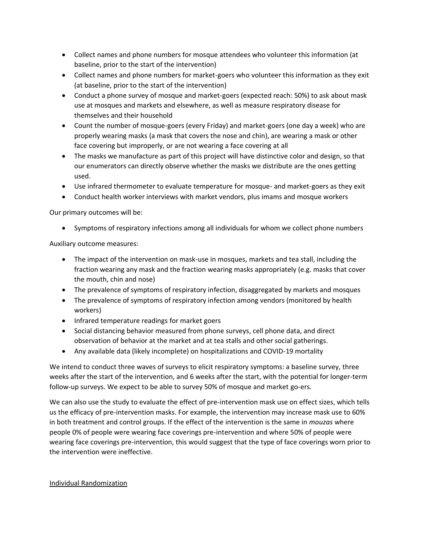- Collect names and phone numbers for mosque attendees who volunteer this information (at baseline, prior to the start of the intervention)
- Collect names and phone numbers for market-goers who volunteer this information as they exit (at baseline, prior to the start of the intervention)
- Conduct a phone survey of mosque and market-goers (expected reach: 50%) to ask about mask use at mosques and markets and elsewhere, as well as measure respiratory disease for themselves and their household
- Count the number of mosque-goers (every Friday) and market-goers (one day a week) who are properly wearing masks (a mask that covers the nose and chin), are wearing a mask or other face covering but improperly, or are not wearing a face covering at all
- The masks we manufacture as part of this project will have distinctive color and design, so that our enumerators can directly observe whether the masks we distribute are the ones getting used.
- Use infrared thermometer to evaluate temperature for mosque- and market-goers as they exit
- Conduct health worker interviews with market vendors, plus imams and mosque workers

Our primary outcomes will be:

• Symptoms of respiratory infections among all individuals for whom we collect phone numbers

Auxiliary outcome measures:

- The impact of the intervention on mask-use in mosques, markets and tea stall, including the fraction wearing any mask and the fraction wearing masks appropriately (e.g. masks that cover the mouth, chin and nose)
- The prevalence of symptoms of respiratory infection, disaggregated by markets and mosques
- The prevalence of symptoms of respiratory infection among vendors (monitored by health workers)
- Infrared temperature readings for market goers
- Social distancing behavior measured from phone surveys, cell phone data, and direct observation of behavior at the market and at tea stalls and other social gatherings.
- Any available data (likely incomplete) on hospitalizations and COVID-19 mortality

We intend to conduct three waves of surveys to elicit respiratory symptoms: a baseline survey, three weeks after the start of the intervention, and 6 weeks after the start, with the potential for longer-term follow-up surveys. We expect to be able to survey 50% of mosque and market go-ers.

We can also use the study to evaluate the effect of pre-intervention mask use on effect sizes, which tells us the efficacy of pre-intervention masks. For example, the intervention may increase mask use to 60% in both treatment and control groups. If the effect of the intervention is the same in *mouzas* where people 0% of people were wearing face coverings pre-intervention and where 50% of people were wearing face coverings pre-intervention, this would suggest that the type of face coverings worn prior to the intervention were ineffective.

#### Individual Randomization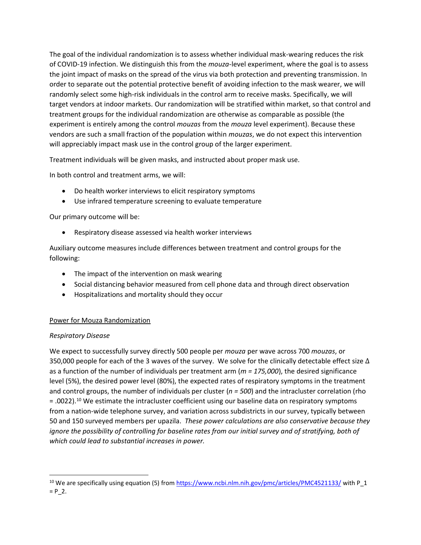The goal of the individual randomization is to assess whether individual mask-wearing reduces the risk of COVID-19 infection. We distinguish this from the *mouza*-level experiment, where the goal is to assess the joint impact of masks on the spread of the virus via both protection and preventing transmission. In order to separate out the potential protective benefit of avoiding infection to the mask wearer, we will randomly select some high-risk individuals in the control arm to receive masks. Specifically, we will target vendors at indoor markets. Our randomization will be stratified within market, so that control and treatment groups for the individual randomization are otherwise as comparable as possible (the experiment is entirely among the control *mouzas* from the *mouza* level experiment). Because these vendors are such a small fraction of the population within *mouzas*, we do not expect this intervention will appreciably impact mask use in the control group of the larger experiment.

Treatment individuals will be given masks, and instructed about proper mask use.

In both control and treatment arms, we will:

- Do health worker interviews to elicit respiratory symptoms
- Use infrared temperature screening to evaluate temperature

Our primary outcome will be:

• Respiratory disease assessed via health worker interviews

Auxiliary outcome measures include differences between treatment and control groups for the following:

- The impact of the intervention on mask wearing
- Social distancing behavior measured from cell phone data and through direct observation
- Hospitalizations and mortality should they occur

# Power for Mouza Randomization

#### *Respiratory Disease*

We expect to successfully survey directly 500 people per *mouza* per wave across 700 *mouzas*, or 350,000 people for each of the 3 waves of the survey. We solve for the clinically detectable effect size  $\Delta$ as a function of the number of individuals per treatment arm (*m = 175,000*), the desired significance level (5%), the desired power level (80%), the expected rates of respiratory symptoms in the treatment and control groups, the number of individuals per cluster (*n = 500*) and the intracluster correlation (rho = .0022).<sup>10</sup> We estimate the intracluster coefficient using our baseline data on respiratory symptoms from a nation-wide telephone survey, and variation across subdistricts in our survey, typically between 50 and 150 surveyed members per upazila. *These power calculations are also conservative because they ignore the possibility of controlling for baseline rates from our initial survey and of stratifying, both of which could lead to substantial increases in power.*

<sup>&</sup>lt;sup>10</sup> We are specifically using equation (5) fro[m https://www.ncbi.nlm.nih.gov/pmc/articles/PMC4521133/](https://www.ncbi.nlm.nih.gov/pmc/articles/PMC4521133/) with P\_1  $= P_2$ .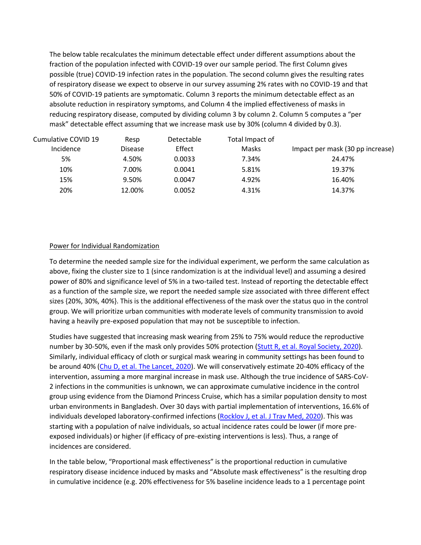The below table recalculates the minimum detectable effect under different assumptions about the fraction of the population infected with COVID-19 over our sample period. The first Column gives possible (true) COVID-19 infection rates in the population. The second column gives the resulting rates of respiratory disease we expect to observe in our survey assuming 2% rates with no COVID-19 and that 50% of COVID-19 patients are symptomatic. Column 3 reports the minimum detectable effect as an absolute reduction in respiratory symptoms, and Column 4 the implied effectiveness of masks in reducing respiratory disease, computed by dividing column 3 by column 2. Column 5 computes a "per mask" detectable effect assuming that we increase mask use by 30% (column 4 divided by 0.3).

| Cumulative COVID 19 | Resp           | Detectable | Total Impact of |                                  |
|---------------------|----------------|------------|-----------------|----------------------------------|
| Incidence           | <b>Disease</b> | Effect     | Masks           | Impact per mask (30 pp increase) |
| 5%                  | 4.50%          | 0.0033     | 7.34%           | 24.47%                           |
| 10%                 | 7.00%          | 0.0041     | 5.81%           | 19.37%                           |
| 15%                 | 9.50%          | 0.0047     | 4.92%           | 16.40%                           |
| 20%                 | 12.00%         | 0.0052     | 4.31%           | 14.37%                           |

#### Power for Individual Randomization

To determine the needed sample size for the individual experiment, we perform the same calculation as above, fixing the cluster size to 1 (since randomization is at the individual level) and assuming a desired power of 80% and significance level of 5% in a two-tailed test. Instead of reporting the detectable effect as a function of the sample size, we report the needed sample size associated with three different effect sizes {20%, 30%, 40%}. This is the additional effectiveness of the mask over the status quo in the control group. We will prioritize urban communities with moderate levels of community transmission to avoid having a heavily pre-exposed population that may not be susceptible to infection.

Studies have suggested that increasing mask wearing from 25% to 75% would reduce the reproductive number by 30-50%, even if the mask only provides 50% protection [\(Stutt R, et al. Royal Society, 2020\)](https://royalsocietypublishing.org/doi/10.1098/rspa.2020.0376). Similarly, individual efficacy of cloth or surgical mask wearing in community settings has been found to be around 40% [\(Chu D, et al. The Lancet, 2020\)](https://www.thelancet.com/journals/lancet/article/PIIS0140-6736(20)31142-9/fulltext). We will conservatively estimate 20-40% efficacy of the intervention, assuming a more marginal increase in mask use. Although the true incidence of SARS-CoV-2 infections in the communities is unknown, we can approximate cumulative incidence in the control group using evidence from the Diamond Princess Cruise, which has a similar population density to most urban environments in Bangladesh. Over 30 days with partial implementation of interventions, 16.6% of individuals developed laboratory-confirmed infections [\(Rocklov J, et al. J Trav Med, 2020\)](https://academic.oup.com/jtm/article/27/3/taaa030/5766334). This was starting with a population of naïve individuals, so actual incidence rates could be lower (if more preexposed individuals) or higher (if efficacy of pre-existing interventions is less). Thus, a range of incidences are considered.

In the table below, "Proportional mask effectiveness" is the proportional reduction in cumulative respiratory disease incidence induced by masks and "Absolute mask effectiveness" is the resulting drop in cumulative incidence (e.g. 20% effectiveness for 5% baseline incidence leads to a 1 percentage point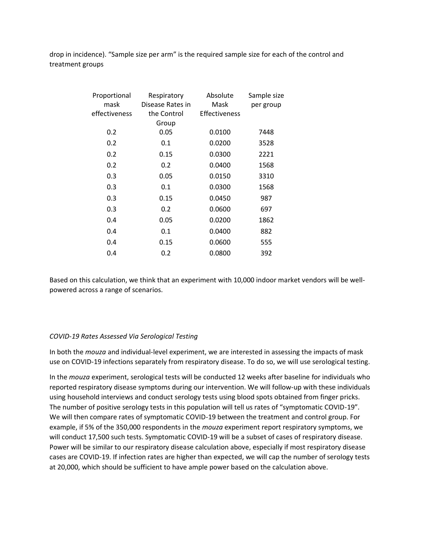drop in incidence). "Sample size per arm" is the required sample size for each of the control and treatment groups

| Proportional<br>mask<br>effectiveness | Respiratory<br>Disease Rates in<br>the Control | Absolute<br>Mask<br>Effectiveness | Sample size<br>per group |
|---------------------------------------|------------------------------------------------|-----------------------------------|--------------------------|
|                                       | Group                                          |                                   |                          |
| 0.2                                   | 0.05                                           | 0.0100                            | 7448                     |
| 0.2                                   | 0.1                                            | 0.0200                            | 3528                     |
| 0.2                                   | 0.15                                           | 0.0300                            | 2221                     |
| 0.2                                   | 0.2                                            | 0.0400                            | 1568                     |
| 0.3                                   | 0.05                                           | 0.0150                            | 3310                     |
| 0.3                                   | 0.1                                            | 0.0300                            | 1568                     |
| 0.3                                   | 0.15                                           | 0.0450                            | 987                      |
| 0.3                                   | 0.2                                            | 0.0600                            | 697                      |
| 0.4                                   | 0.05                                           | 0.0200                            | 1862                     |
| 0.4                                   | 0.1                                            | 0.0400                            | 882                      |
| 0.4                                   | 0.15                                           | 0.0600                            | 555                      |
| 0.4                                   | 0.2                                            | 0.0800                            | 392                      |

Based on this calculation, we think that an experiment with 10,000 indoor market vendors will be wellpowered across a range of scenarios.

#### *COVID-19 Rates Assessed Via Serological Testing*

In both the *mouza* and individual-level experiment, we are interested in assessing the impacts of mask use on COVID-19 infections separately from respiratory disease. To do so, we will use serological testing.

In the *mouza* experiment, serological tests will be conducted 12 weeks after baseline for individuals who reported respiratory disease symptoms during our intervention. We will follow-up with these individuals using household interviews and conduct serology tests using blood spots obtained from finger pricks. The number of positive serology tests in this population will tell us rates of "symptomatic COVID-19". We will then compare rates of symptomatic COVID-19 between the treatment and control group. For example, if 5% of the 350,000 respondents in the *mouza* experiment report respiratory symptoms, we will conduct 17,500 such tests. Symptomatic COVID-19 will be a subset of cases of respiratory disease. Power will be similar to our respiratory disease calculation above, especially if most respiratory disease cases are COVID-19. If infection rates are higher than expected, we will cap the number of serology tests at 20,000, which should be sufficient to have ample power based on the calculation above.